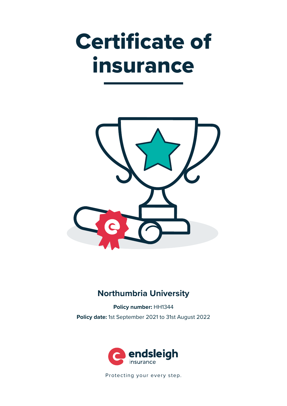# Certificate of insurance



# **Northumbria University**

**Policy number:** HH1344 **Policy date:** 1st September 2021 to 31st August 2022



Protecting your every step.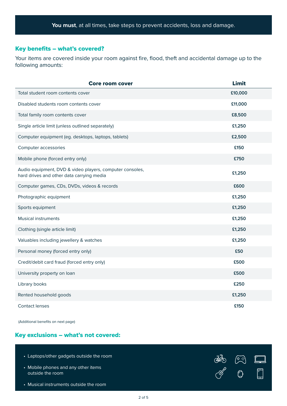# Key benefits – what's covered?

Your items are covered inside your room against fire, flood, theft and accidental damage up to the following amounts:

| <b>Core room cover</b>                                                                                | Limit   |
|-------------------------------------------------------------------------------------------------------|---------|
| Total student room contents cover                                                                     | £10,000 |
| Disabled students room contents cover                                                                 | £11,000 |
| Total family room contents cover                                                                      | £8,500  |
| Single article limit (unless outlined separately)                                                     | £1,250  |
| Computer equipment (eg. desktops, laptops, tablets)                                                   | £2,500  |
| Computer accessories                                                                                  | £150    |
| Mobile phone (forced entry only)                                                                      | £750    |
| Audio equipment, DVD & video players, computer consoles,<br>hard drives and other data carrying media | £1,250  |
| Computer games, CDs, DVDs, videos & records                                                           | £600    |
| Photographic equipment                                                                                | £1,250  |
| Sports equipment                                                                                      | £1,250  |
| <b>Musical instruments</b>                                                                            | £1,250  |
| Clothing (single article limit)                                                                       | £1,250  |
| Valuables including jewellery & watches                                                               | £1,250  |
| Personal money (forced entry only)                                                                    | £50     |
| Credit/debit card fraud (forced entry only)                                                           | £500    |
| University property on loan                                                                           | £500    |
| Library books                                                                                         | £250    |
| Rented household goods                                                                                | £1,250  |
| <b>Contact lenses</b>                                                                                 | £150    |

(Additional benefits on next page)

# Key exclusions – what's not covered:

| • Laptops/other gadgets outside the room                | $\mathbb{R}$ | $\sqrt{9 \cdot 3}$ | $\blacksquare$                                |
|---------------------------------------------------------|--------------|--------------------|-----------------------------------------------|
| • Mobile phones and any other items<br>outside the room | –CJ          | €                  | $\begin{array}{c} \circ \\ \circ \end{array}$ |
| • Musical instruments outside the room                  |              |                    |                                               |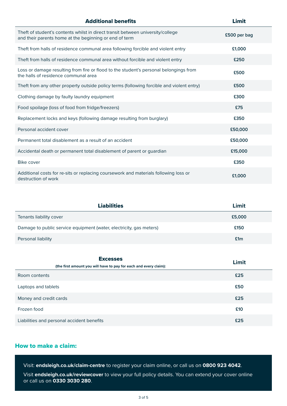| <b>Additional benefits</b>                                                                                                                | <b>Limit</b> |
|-------------------------------------------------------------------------------------------------------------------------------------------|--------------|
| Theft of student's contents whilst in direct transit between university/college<br>and their parents home at the beginning or end of term | £500 per bag |
| Theft from halls of residence communal area following forcible and violent entry                                                          | £1,000       |
| Theft from halls of residence communal area without forcible and violent entry                                                            | £250         |
| Loss or damage resulting from fire or flood to the student's personal belongings from<br>the halls of residence communal area             | £500         |
| Theft from any other property outside policy terms (following forcible and violent entry)                                                 | £500         |
| Clothing damage by faulty laundry equipment                                                                                               | £300         |
| Food spoilage (loss of food from fridge/freezers)                                                                                         | £75          |
| Replacement locks and keys (following damage resulting from burglary)                                                                     | £350         |
| Personal accident cover                                                                                                                   | £50,000      |
| Permanent total disablement as a result of an accident                                                                                    | £50,000      |
| Accidental death or permanent total disablement of parent or guardian                                                                     | £15,000      |
| Bike cover                                                                                                                                | £350         |
| Additional costs for re-sits or replacing coursework and materials following loss or<br>destruction of work                               | £1,000       |

| <b>Liabilities</b>                                                  | Limit  |
|---------------------------------------------------------------------|--------|
| Tenants liability cover                                             | £5,000 |
| Damage to public service equipment (water, electricity, gas meters) | £150   |
| Personal liability                                                  | £1m    |

| <b>Excesses</b>                                                   | Limit |  |
|-------------------------------------------------------------------|-------|--|
| (the first amount you will have to pay for each and every claim): |       |  |
| Room contents                                                     | £25   |  |
| Laptops and tablets                                               | £50   |  |
| Money and credit cards                                            | £25   |  |
| Frozen food                                                       | £10   |  |
| Liabilities and personal accident benefits                        | £25   |  |

# How to make a claim:

Visit: **endsleigh.co.uk/claim-centre** to register your claim online, or call us on **0800 923 4042**.

Visit **endsleigh.co.uk/reviewcover** to view your full policy details. You can extend your cover online or call us on **0330 3030 280**.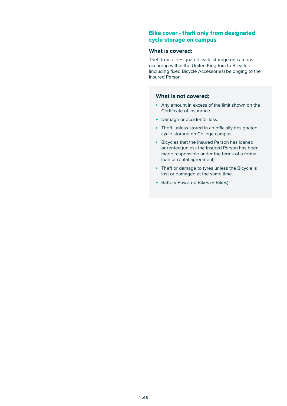### Bike cover - theft only from designated cycle storage on campus

#### **What is covered:**

Theft from a designated cycle storage on campus occurring within the United Kingdom to Bicycles (including fixed Bicycle Accessories) belonging to the Insured Person.

#### **What is not covered:**

- ► Any amount in excess of the limit shown on the Certificate of Insurance.
- ▶ Damage or accidental loss.
- ► Theft, unless stored in an officially designated cycle storage on College campus.
- ► Bicycles that the Insured Person has loaned or rented (unless the Insured Person has been made responsible under the terms of a formal loan or rental agreement).
- ▶ Theft or damage to tyres unless the Bicycle is lost or damaged at the same time.
- ► Battery Powered Bikes (E-Bikes)